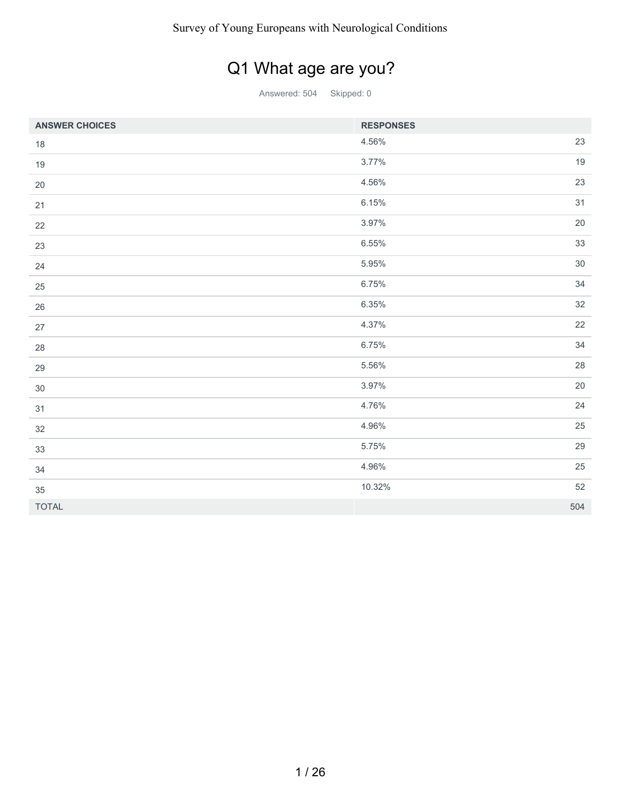## Q1 What age are you?

| <b>ANSWER CHOICES</b> | <b>RESPONSES</b> |        |
|-----------------------|------------------|--------|
| $18\,$                | 4.56%            | 23     |
| 19                    | 3.77%            | 19     |
| $20\,$                | 4.56%            | 23     |
| 21                    | 6.15%            | 31     |
| 22                    | 3.97%            | $20\,$ |
| 23                    | 6.55%            | 33     |
| 24                    | 5.95%            | $30\,$ |
| 25                    | 6.75%            | 34     |
| 26                    | 6.35%            | 32     |
| 27                    | 4.37%            | 22     |
| 28                    | 6.75%            | 34     |
| 29                    | 5.56%            | 28     |
| 30                    | 3.97%            | 20     |
| 31                    | 4.76%            | 24     |
| 32                    | 4.96%            | 25     |
| 33                    | 5.75%            | 29     |
| 34                    | 4.96%            | 25     |
| 35                    | 10.32%           | 52     |
| <b>TOTAL</b>          |                  | 504    |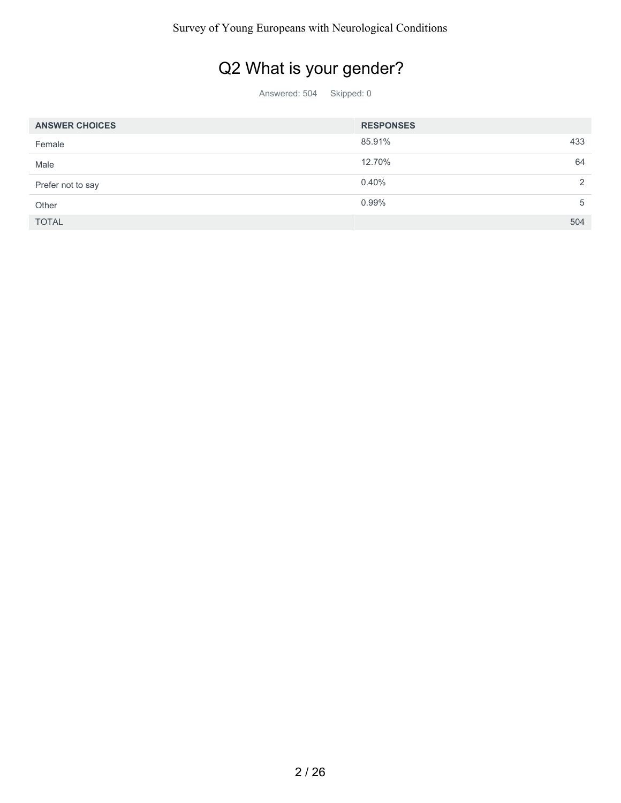### Q2 What is your gender?

| <b>ANSWER CHOICES</b> | <b>RESPONSES</b> |          |
|-----------------------|------------------|----------|
| Female                | 85.91%           | 433      |
| Male                  | 12.70%           | 64       |
| Prefer not to say     | 0.40%            | $\Omega$ |
| Other                 | 0.99%            | 5        |
| <b>TOTAL</b>          |                  | 504      |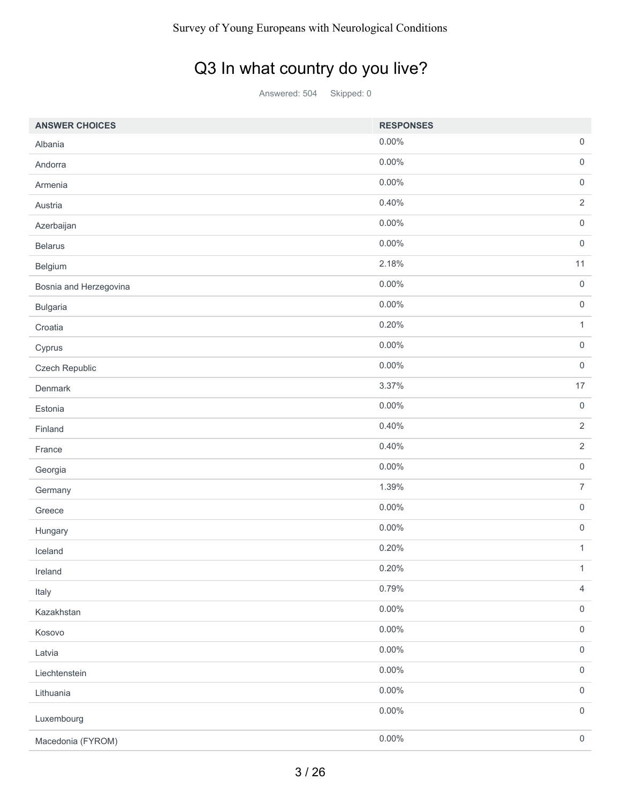### Q3 In what country do you live?

| <b>ANSWER CHOICES</b>  | <b>RESPONSES</b> |                     |
|------------------------|------------------|---------------------|
| Albania                | 0.00%            | $\mathsf{O}\xspace$ |
| Andorra                | 0.00%            | $\mathsf{O}\xspace$ |
| Armenia                | $0.00\%$         | $\mathsf{O}\xspace$ |
| Austria                | 0.40%            | $\sqrt{2}$          |
| Azerbaijan             | 0.00%            | $\mathsf{O}\xspace$ |
| <b>Belarus</b>         | 0.00%            | $\mathsf{O}\xspace$ |
| Belgium                | 2.18%            | 11                  |
| Bosnia and Herzegovina | 0.00%            | $\boldsymbol{0}$    |
| Bulgaria               | 0.00%            | $\mathsf{O}\xspace$ |
| Croatia                | 0.20%            | $\mathbf{1}$        |
| Cyprus                 | 0.00%            | $\mathsf{O}\xspace$ |
| Czech Republic         | 0.00%            | $\mathbf 0$         |
| Denmark                | 3.37%            | 17                  |
| Estonia                | $0.00\%$         | $\mathsf{O}\xspace$ |
| Finland                | 0.40%            | $\overline{2}$      |
| France                 | 0.40%            | $\sqrt{2}$          |
| Georgia                | $0.00\%$         | $\mathbf 0$         |
| Germany                | 1.39%            | $\overline{7}$      |
| Greece                 | 0.00%            | $\mathsf{O}\xspace$ |
| Hungary                | $0.00\%$         | $\mathsf{O}\xspace$ |
| Iceland                | 0.20%            | $\mathbf{1}$        |
| Ireland                | 0.20%            | $\mathbf{1}$        |
| Italy                  | 0.79%            | $\overline{4}$      |
| Kazakhstan             | 0.00%            | $\mathsf{O}\xspace$ |
| Kosovo                 | $0.00\%$         | $\mathbf 0$         |
| Latvia                 | $0.00\%$         | $\mathsf{O}\xspace$ |
| Liechtenstein          | 0.00%            | $\mathsf{O}\xspace$ |
| Lithuania              | $0.00\%$         | $\mathbf 0$         |
| Luxembourg             | $0.00\%$         | $\mathsf{O}\xspace$ |
| Macedonia (FYROM)      | $0.00\%$         | $\mathsf{O}\xspace$ |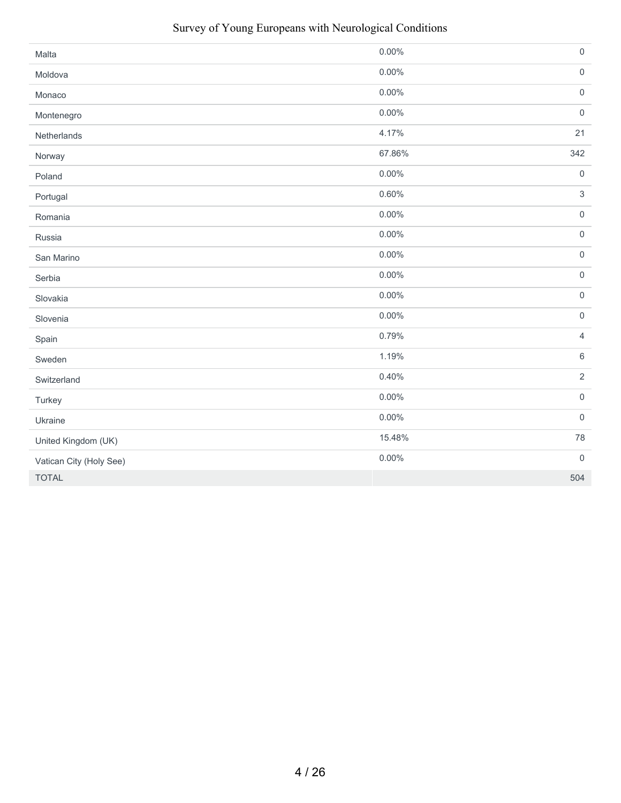| Malta                   | 0.00%    | $\mathsf{O}\xspace$ |
|-------------------------|----------|---------------------|
| Moldova                 | 0.00%    | $\mathsf{O}\xspace$ |
| Monaco                  | $0.00\%$ | $\mathsf{O}\xspace$ |
| Montenegro              | $0.00\%$ | $\mathsf{O}\xspace$ |
| Netherlands             | 4.17%    | 21                  |
| Norway                  | 67.86%   | 342                 |
| Poland                  | $0.00\%$ | $\mathsf{O}\xspace$ |
| Portugal                | 0.60%    | $\sqrt{3}$          |
| Romania                 | $0.00\%$ | $\mathsf{O}\xspace$ |
| Russia                  | $0.00\%$ | $\mathsf{O}\xspace$ |
| San Marino              | $0.00\%$ | $\mathsf{O}\xspace$ |
| Serbia                  | $0.00\%$ | $\mathsf{O}\xspace$ |
| Slovakia                | $0.00\%$ | $\mathsf{O}\xspace$ |
| Slovenia                | $0.00\%$ | $\mathsf{O}\xspace$ |
| Spain                   | 0.79%    | $\overline{4}$      |
| Sweden                  | 1.19%    | $\,6\,$             |
| Switzerland             | 0.40%    | $\overline{2}$      |
| Turkey                  | $0.00\%$ | $\mathsf{O}\xspace$ |
| Ukraine                 | $0.00\%$ | $\mathbf 0$         |
| United Kingdom (UK)     | 15.48%   | 78                  |
| Vatican City (Holy See) | $0.00\%$ | $\mathsf{O}\xspace$ |
| <b>TOTAL</b>            |          | 504                 |

#### Survey of Young Europeans with Neurological Conditions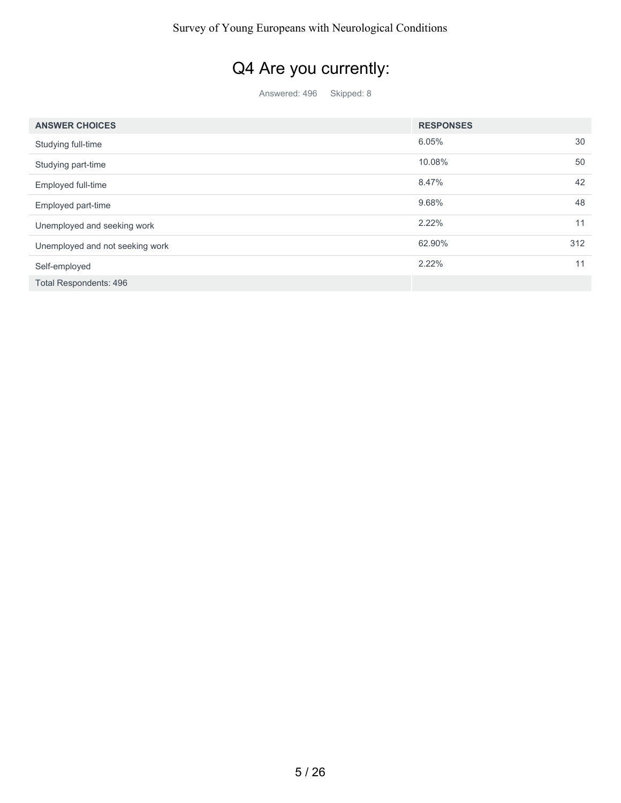# Q4 Are you currently:

| <b>ANSWER CHOICES</b>           | <b>RESPONSES</b> |     |
|---------------------------------|------------------|-----|
| Studying full-time              | 6.05%            | 30  |
| Studying part-time              | 10.08%           | 50  |
| Employed full-time              | 8.47%            | 42  |
| Employed part-time              | 9.68%            | 48  |
| Unemployed and seeking work     | 2.22%            | 11  |
| Unemployed and not seeking work | 62.90%           | 312 |
| Self-employed                   | 2.22%            | 11  |
| <b>Total Respondents: 496</b>   |                  |     |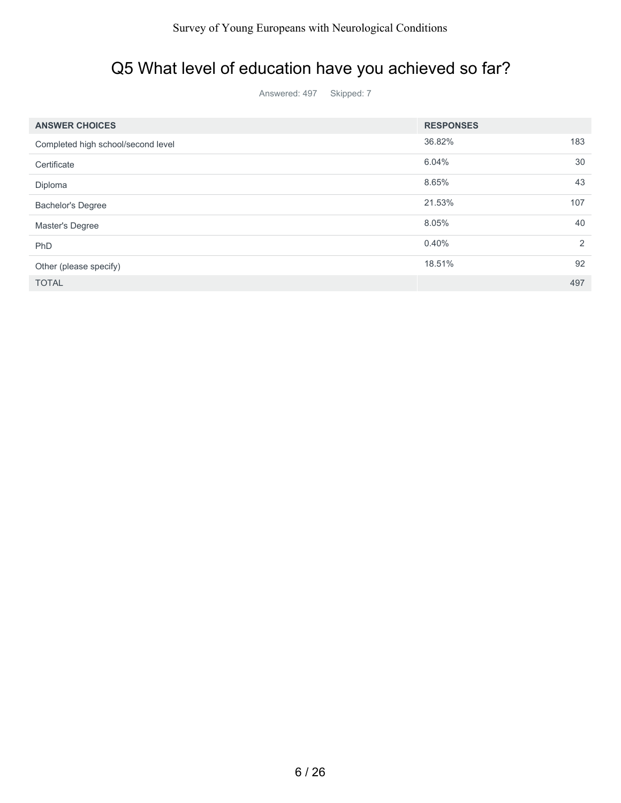#### Q5 What level of education have you achieved so far?

| <b>ANSWER CHOICES</b>              | <b>RESPONSES</b> |                |
|------------------------------------|------------------|----------------|
| Completed high school/second level | 36.82%           | 183            |
| Certificate                        | 6.04%            | 30             |
| Diploma                            | 8.65%            | 43             |
| <b>Bachelor's Degree</b>           | 21.53%           | 107            |
| Master's Degree                    | 8.05%            | 40             |
| PhD                                | 0.40%            | $\mathfrak{D}$ |
| Other (please specify)             | 18.51%           | 92             |
| <b>TOTAL</b>                       |                  | 497            |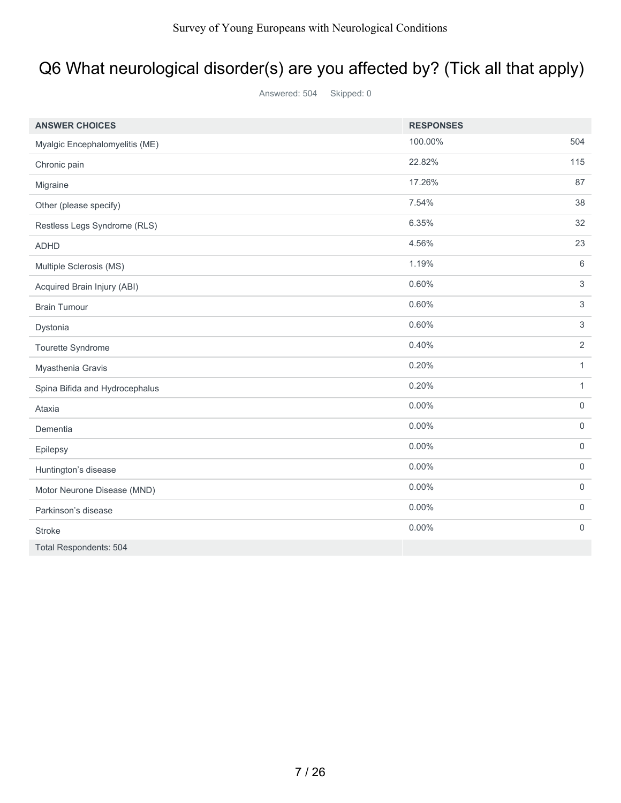# Q6 What neurological disorder(s) are you affected by? (Tick all that apply)

| <b>ANSWER CHOICES</b>          | <b>RESPONSES</b> |                     |
|--------------------------------|------------------|---------------------|
| Myalgic Encephalomyelitis (ME) | 100.00%          | 504                 |
| Chronic pain                   | 22.82%           | 115                 |
| Migraine                       | 17.26%           | 87                  |
| Other (please specify)         | 7.54%            | 38                  |
| Restless Legs Syndrome (RLS)   | 6.35%            | 32                  |
| <b>ADHD</b>                    | 4.56%            | 23                  |
| Multiple Sclerosis (MS)        | 1.19%            | 6                   |
| Acquired Brain Injury (ABI)    | 0.60%            | 3                   |
| <b>Brain Tumour</b>            | 0.60%            | 3                   |
| Dystonia                       | 0.60%            | 3                   |
| Tourette Syndrome              | 0.40%            | 2                   |
| Myasthenia Gravis              | 0.20%            | $\mathbf{1}$        |
| Spina Bifida and Hydrocephalus | 0.20%            | $\mathbf{1}$        |
| Ataxia                         | 0.00%            | $\mathsf{O}\xspace$ |
| Dementia                       | 0.00%            | $\mathsf{O}\xspace$ |
| Epilepsy                       | 0.00%            | $\mathsf{O}\xspace$ |
| Huntington's disease           | 0.00%            | $\mathsf{O}\xspace$ |
| Motor Neurone Disease (MND)    | $0.00\%$         | $\mathsf{O}\xspace$ |
| Parkinson's disease            | $0.00\%$         | $\mathbf 0$         |
| <b>Stroke</b>                  | 0.00%            | $\mathbf 0$         |
| <b>Total Respondents: 504</b>  |                  |                     |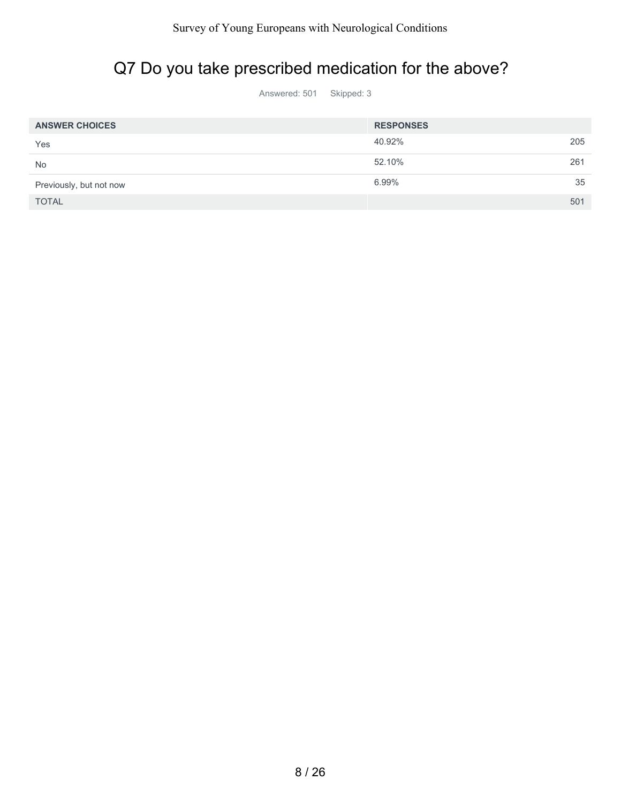# Q7 Do you take prescribed medication for the above?

| <b>ANSWER CHOICES</b>   | <b>RESPONSES</b> |     |
|-------------------------|------------------|-----|
| Yes                     | 40.92%           | 205 |
| <b>No</b>               | 52.10%           | 261 |
| Previously, but not now | 6.99%            | 35  |
| <b>TOTAL</b>            |                  | 501 |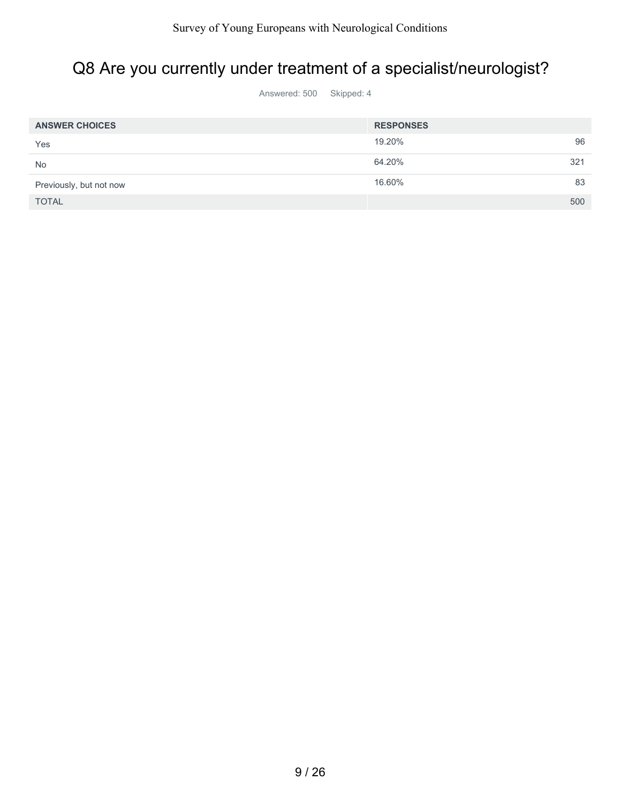### Q8 Are you currently under treatment of a specialist/neurologist?

| <b>ANSWER CHOICES</b>   | <b>RESPONSES</b> |
|-------------------------|------------------|
| Yes                     | 96<br>19.20%     |
| <b>No</b>               | 64.20%<br>321    |
| Previously, but not now | 83<br>16.60%     |
| <b>TOTAL</b>            | 500              |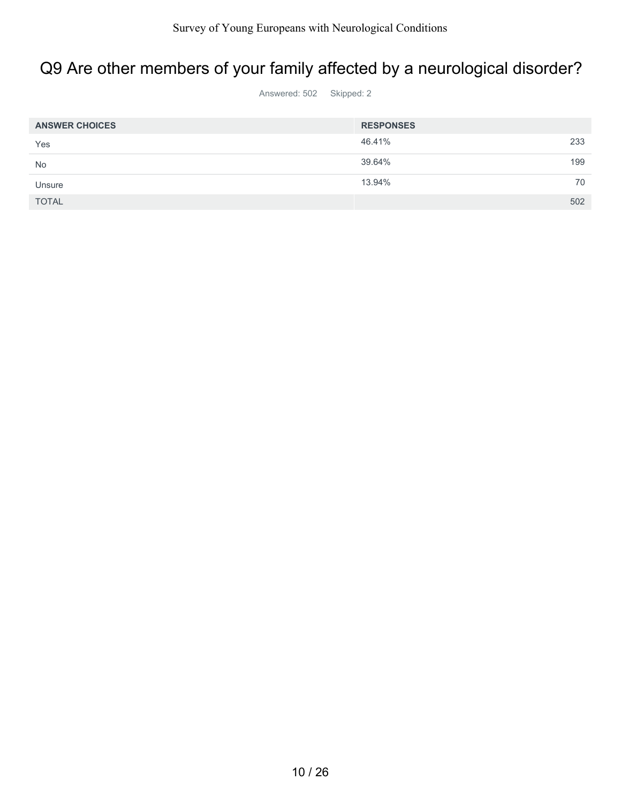### Q9 Are other members of your family affected by a neurological disorder?

| <b>ANSWER CHOICES</b> | <b>RESPONSES</b> |  |
|-----------------------|------------------|--|
| Yes                   | 46.41%<br>233    |  |
| <b>No</b>             | 39.64%<br>199    |  |
| Unsure                | 13.94%<br>70     |  |
| <b>TOTAL</b>          | 502              |  |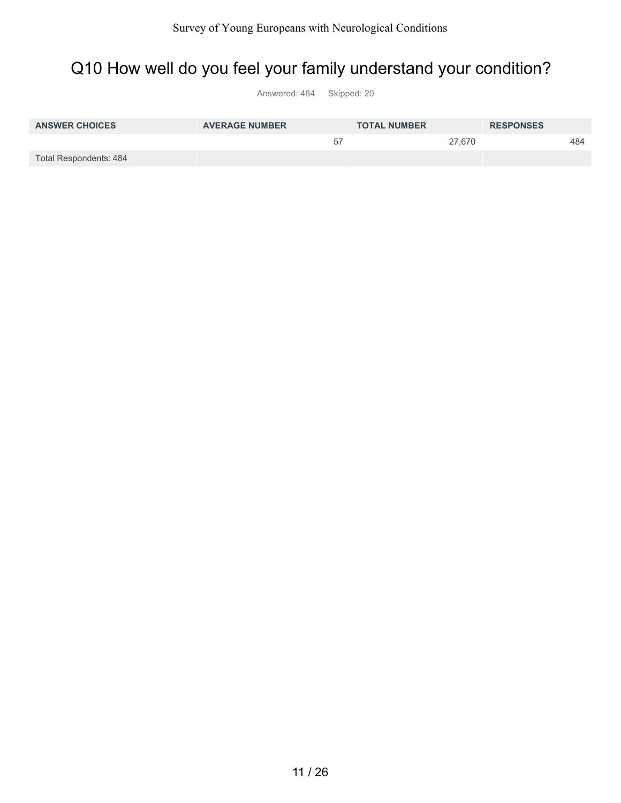#### Q10 How well do you feel your family understand your condition?

| <b>ANSWER CHOICES</b>  | <b>AVERAGE NUMBER</b> | <b>TOTAL NUMBER</b> | <b>RESPONSES</b> |
|------------------------|-----------------------|---------------------|------------------|
|                        | 57                    | 27.670              | 484              |
| Total Respondents: 484 |                       |                     |                  |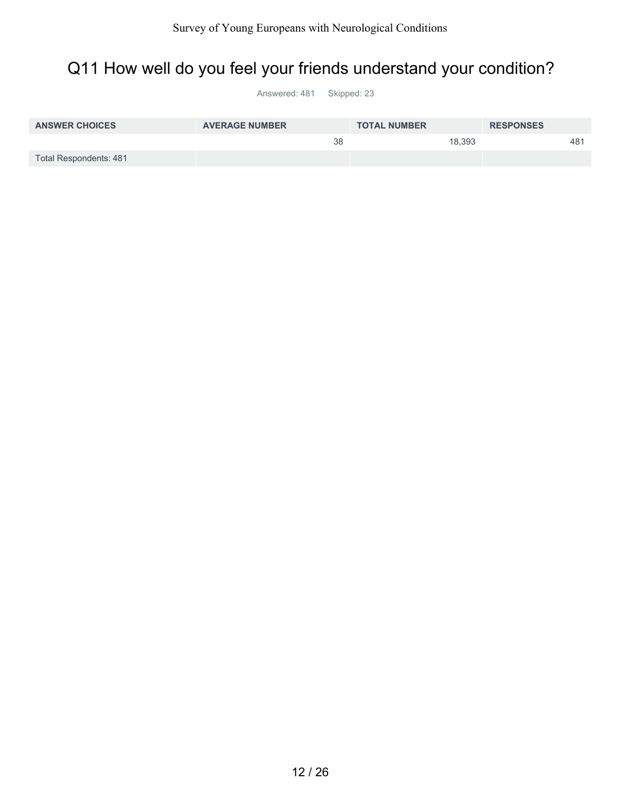### Q11 How well do you feel your friends understand your condition?

| <b>ANSWER CHOICES</b>  | <b>AVERAGE NUMBER</b> | <b>TOTAL NUMBER</b> | <b>RESPONSES</b> |
|------------------------|-----------------------|---------------------|------------------|
|                        | 38                    | 18.393              | 481              |
| Total Respondents: 481 |                       |                     |                  |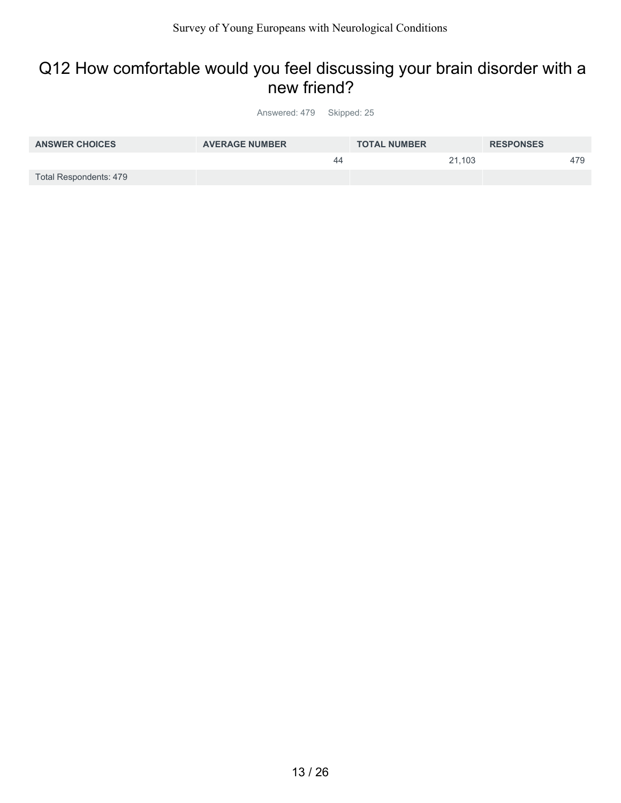#### Q12 How comfortable would you feel discussing your brain disorder with a new friend?

| <b>ANSWER CHOICES</b>  | <b>AVERAGE NUMBER</b> | <b>TOTAL NUMBER</b> | <b>RESPONSES</b> |
|------------------------|-----------------------|---------------------|------------------|
|                        | 44                    | 21.103              | 479              |
| Total Respondents: 479 |                       |                     |                  |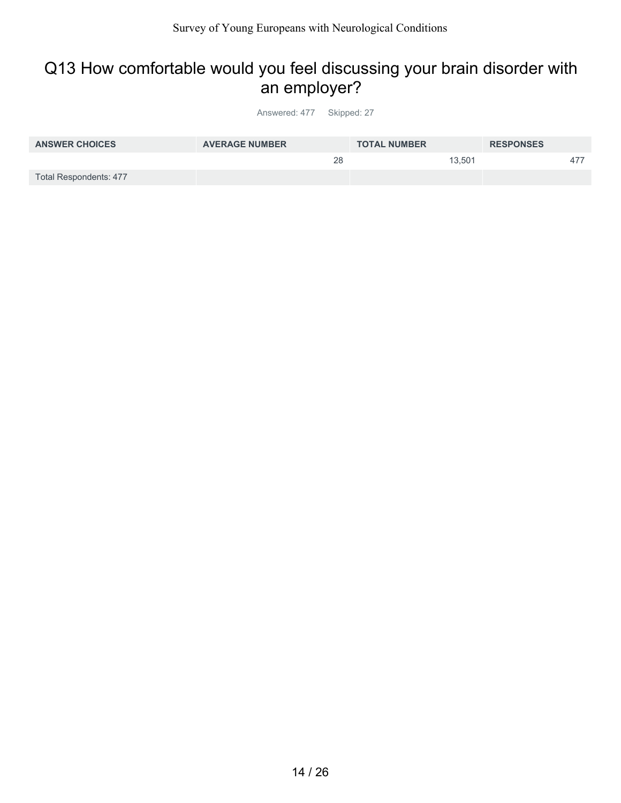#### Q13 How comfortable would you feel discussing your brain disorder with an employer?

| <b>ANSWER CHOICES</b>  | <b>AVERAGE NUMBER</b> | <b>TOTAL NUMBER</b> | <b>RESPONSES</b> |
|------------------------|-----------------------|---------------------|------------------|
|                        | 28                    | 13.501              | $47^{\circ}$     |
| Total Respondents: 477 |                       |                     |                  |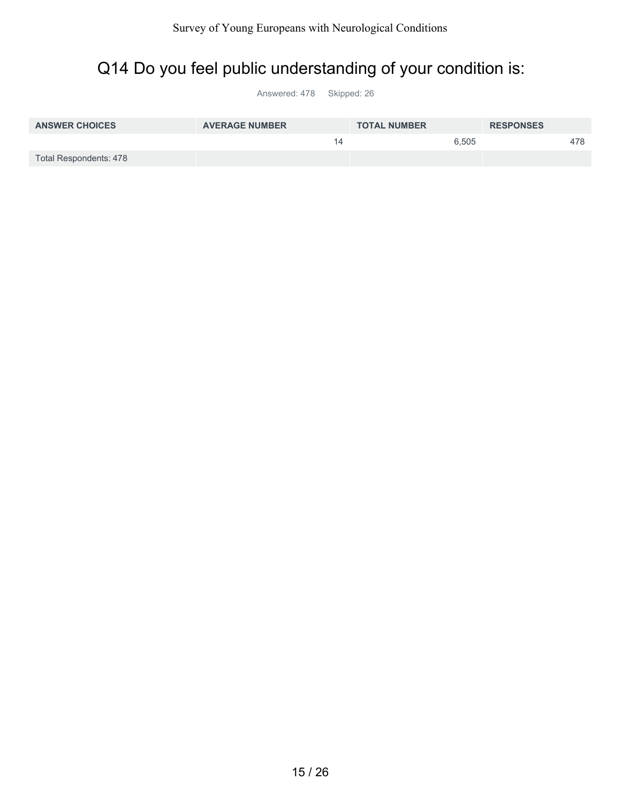### Q14 Do you feel public understanding of your condition is:

| <b>ANSWER CHOICES</b>  | <b>AVERAGE NUMBER</b> | <b>TOTAL NUMBER</b> | <b>RESPONSES</b> |
|------------------------|-----------------------|---------------------|------------------|
|                        |                       | 6.505               | 478              |
| Total Respondents: 478 |                       |                     |                  |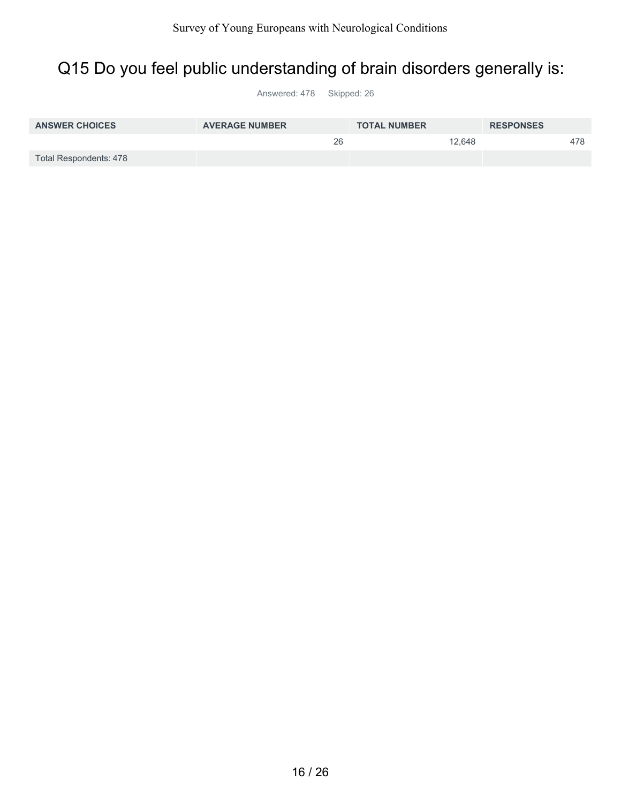### Q15 Do you feel public understanding of brain disorders generally is:

| <b>ANSWER CHOICES</b>  | <b>AVERAGE NUMBER</b> | <b>TOTAL NUMBER</b> | <b>RESPONSES</b> |  |
|------------------------|-----------------------|---------------------|------------------|--|
|                        | 26                    | 12.648              | 478              |  |
| Total Respondents: 478 |                       |                     |                  |  |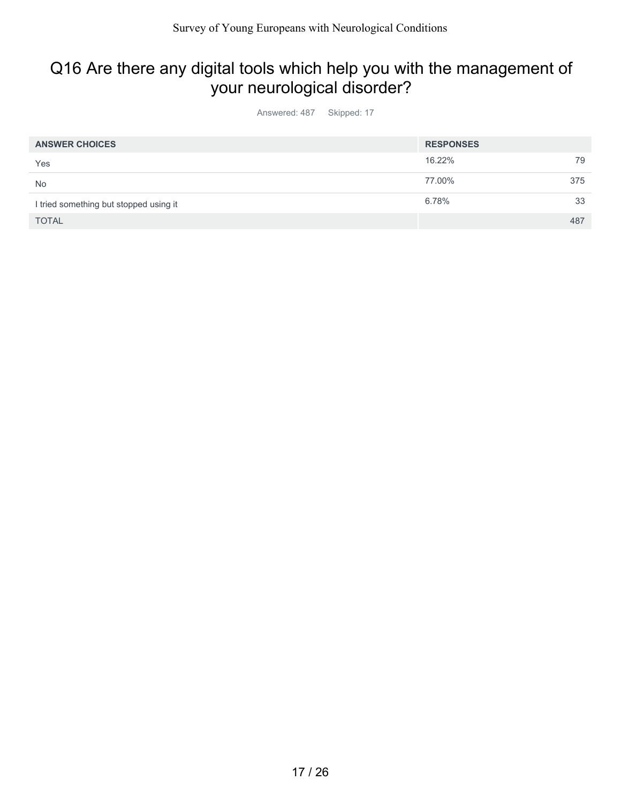### Q16 Are there any digital tools which help you with the management of your neurological disorder?

| <b>ANSWER CHOICES</b>                  | <b>RESPONSES</b> |     |
|----------------------------------------|------------------|-----|
| Yes                                    | 16.22%           | 79  |
| <b>No</b>                              | 77.00%           | 375 |
| I tried something but stopped using it | 6.78%            | 33  |
| <b>TOTAL</b>                           |                  | 487 |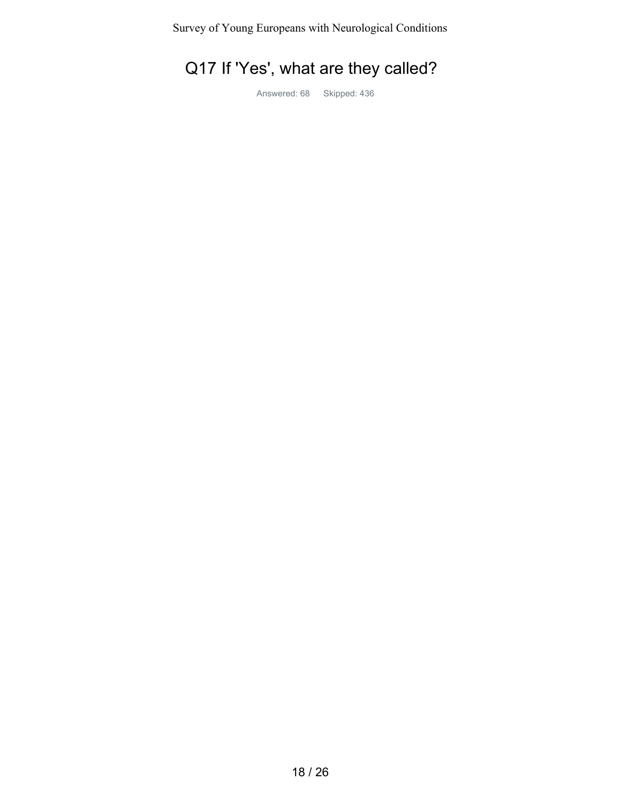## Q17 If 'Yes', what are they called?

Answered: 68 Skipped: 436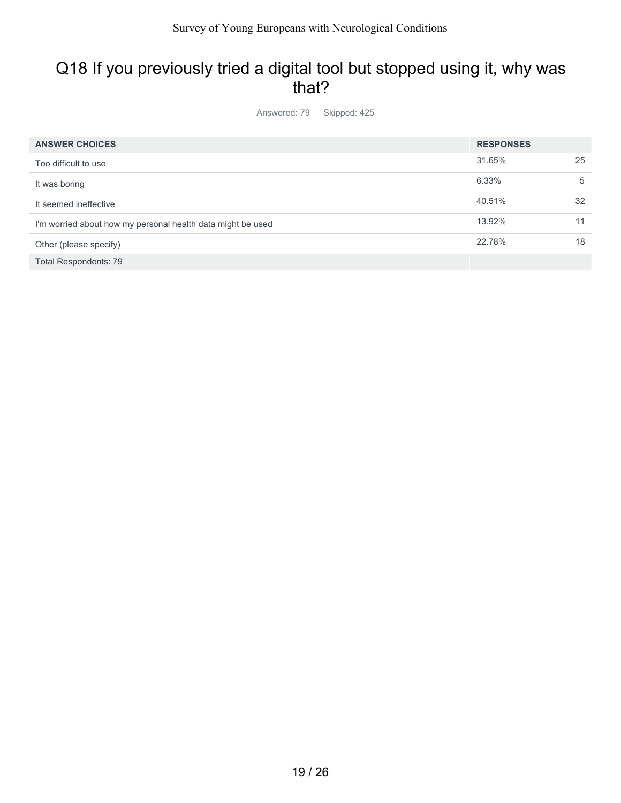#### Q18 If you previously tried a digital tool but stopped using it, why was that?

Answered: 79 Skipped: 425

| <b>ANSWER CHOICES</b>                                       | <b>RESPONSES</b> |    |
|-------------------------------------------------------------|------------------|----|
| Too difficult to use                                        | 31.65%           | 25 |
| It was boring                                               | 6.33%            | 5  |
| It seemed ineffective                                       | 40.51%           | 32 |
| I'm worried about how my personal health data might be used | 13.92%           | 11 |
| Other (please specify)                                      | 22.78%           | 18 |
| <b>Total Respondents: 79</b>                                |                  |    |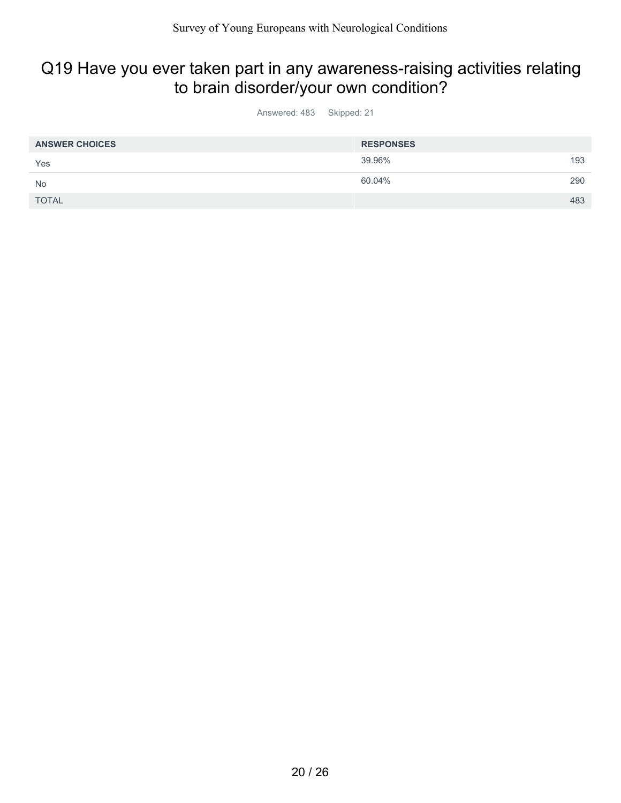#### Q19 Have you ever taken part in any awareness-raising activities relating to brain disorder/your own condition?

| <b>ANSWER CHOICES</b> | <b>RESPONSES</b> |     |
|-----------------------|------------------|-----|
| Yes                   | 39.96%           | 193 |
| No                    | 60.04%           | 290 |
| <b>TOTAL</b>          |                  | 483 |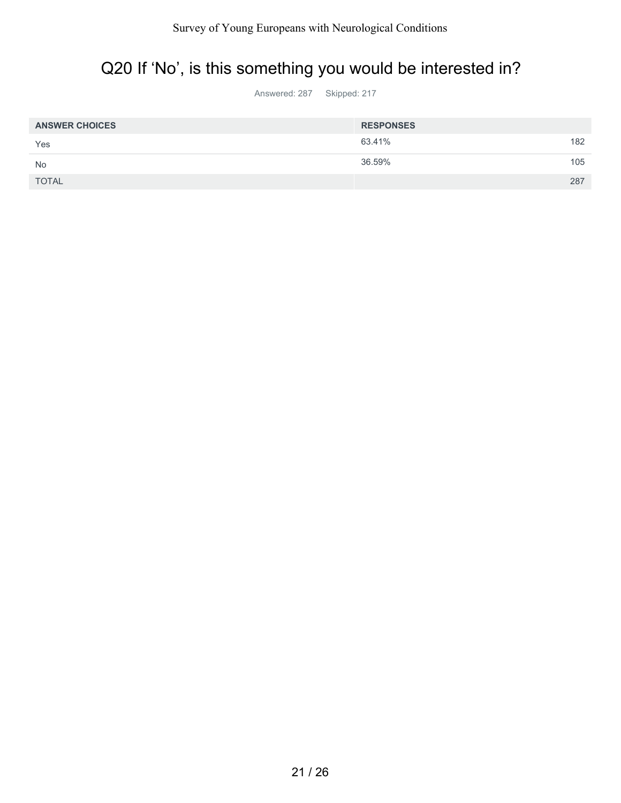# Q20 If 'No', is this something you would be interested in?

Answered: 287 Skipped: 217

| <b>ANSWER CHOICES</b> | <b>RESPONSES</b> |     |
|-----------------------|------------------|-----|
| Yes                   | 63.41%           | 182 |
| <b>No</b>             | 36.59%           | 105 |
| <b>TOTAL</b>          |                  | 287 |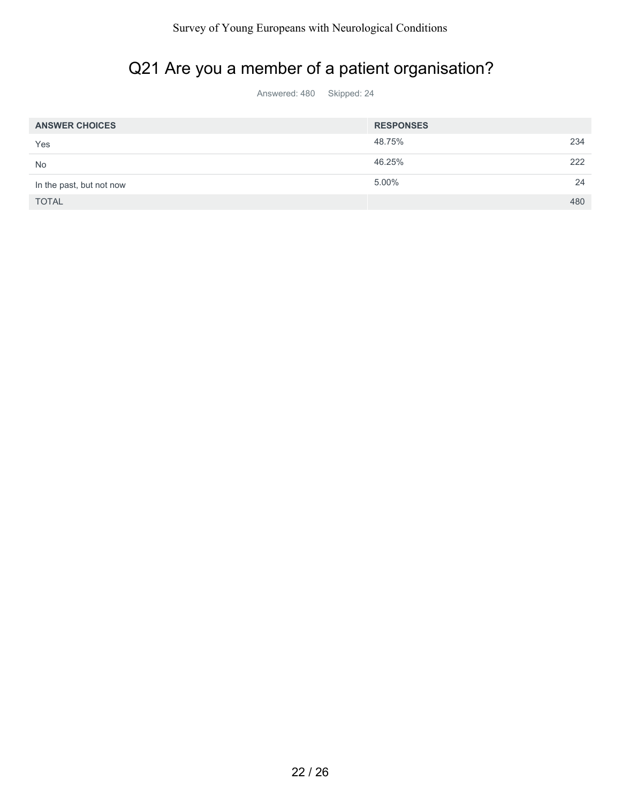### Q21 Are you a member of a patient organisation?

| <b>ANSWER CHOICES</b>    | <b>RESPONSES</b> |    |
|--------------------------|------------------|----|
| Yes                      | 48.75%<br>234    |    |
| <b>No</b>                | 46.25%<br>222    |    |
| In the past, but not now | 5.00%            | 24 |
| <b>TOTAL</b>             | 480              |    |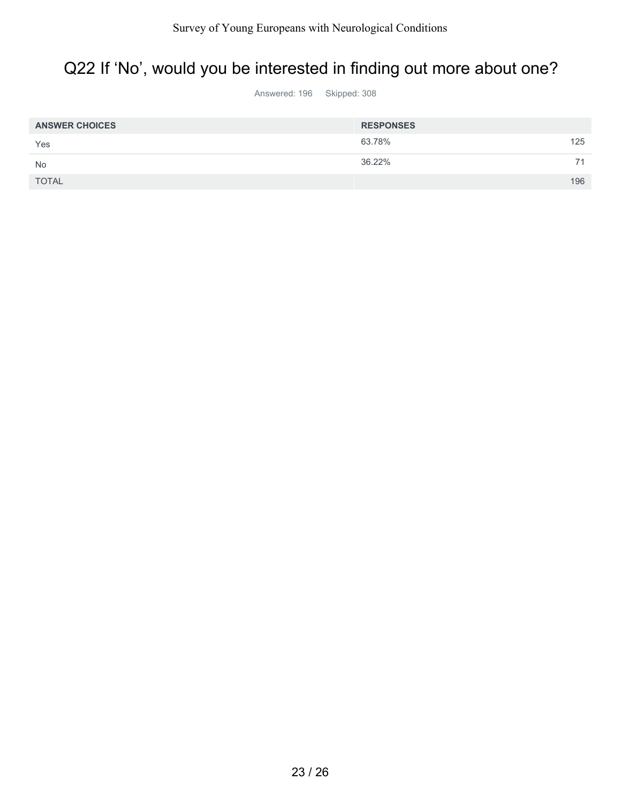#### Q22 If 'No', would you be interested in finding out more about one?

Answered: 196 Skipped: 308

| <b>ANSWER CHOICES</b> | <b>RESPONSES</b> |  |
|-----------------------|------------------|--|
| Yes                   | 125<br>63.78%    |  |
| No                    | 36.22%<br>74     |  |
| <b>TOTAL</b>          | 196              |  |